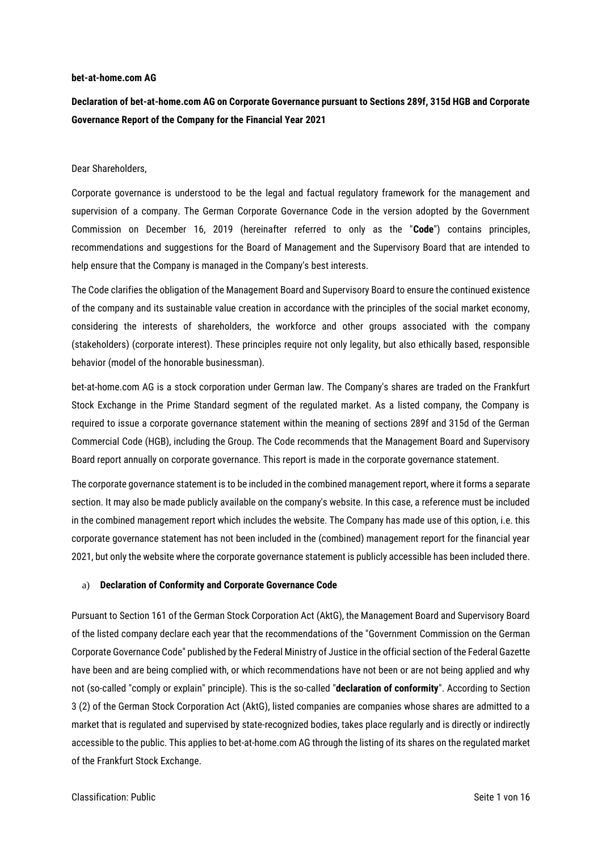#### **bet-at-home.com AG**

**Declaration of bet-at-home.com AG on Corporate Governance pursuant to Sections 289f, 315d HGB and Corporate Governance Report of the Company for the Financial Year 2021**

#### Dear Shareholders,

Corporate governance is understood to be the legal and factual regulatory framework for the management and supervision of a company. The German Corporate Governance Code in the version adopted by the Government Commission on December 16, 2019 (hereinafter referred to only as the "**Code**") contains principles, recommendations and suggestions for the Board of Management and the Supervisory Board that are intended to help ensure that the Company is managed in the Company's best interests.

The Code clarifies the obligation of the Management Board and Supervisory Board to ensure the continued existence of the company and its sustainable value creation in accordance with the principles of the social market economy, considering the interests of shareholders, the workforce and other groups associated with the company (stakeholders) (corporate interest). These principles require not only legality, but also ethically based, responsible behavior (model of the honorable businessman).

bet-at-home.com AG is a stock corporation under German law. The Company's shares are traded on the Frankfurt Stock Exchange in the Prime Standard segment of the regulated market. As a listed company, the Company is required to issue a corporate governance statement within the meaning of sections 289f and 315d of the German Commercial Code (HGB), including the Group. The Code recommends that the Management Board and Supervisory Board report annually on corporate governance. This report is made in the corporate governance statement.

The corporate governance statement is to be included in the combined management report, where it forms a separate section. It may also be made publicly available on the company's website. In this case, a reference must be included in the combined management report which includes the website. The Company has made use of this option, i.e. this corporate governance statement has not been included in the (combined) management report for the financial year 2021, but only the website where the corporate governance statement is publicly accessible has been included there.

#### a) **Declaration of Conformity and Corporate Governance Code**

Pursuant to Section 161 of the German Stock Corporation Act (AktG), the Management Board and Supervisory Board of the listed company declare each year that the recommendations of the "Government Commission on the German Corporate Governance Code" published by the Federal Ministry of Justice in the official section of the Federal Gazette have been and are being complied with, or which recommendations have not been or are not being applied and why not (so-called "comply or explain" principle). This is the so-called "**declaration of conformity**". According to Section 3 (2) of the German Stock Corporation Act (AktG), listed companies are companies whose shares are admitted to a market that is regulated and supervised by state-recognized bodies, takes place regularly and is directly or indirectly accessible to the public. This applies to bet-at-home.com AG through the listing of its shares on the regulated market of the Frankfurt Stock Exchange.

#### Classification: Public Seite 1 von 16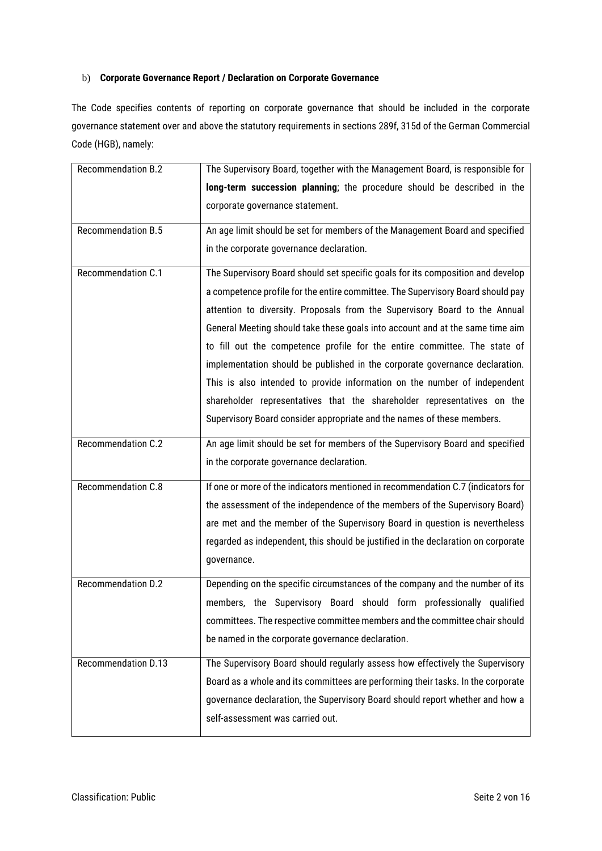# b) **Corporate Governance Report / Declaration on Corporate Governance**

The Code specifies contents of reporting on corporate governance that should be included in the corporate governance statement over and above the statutory requirements in sections 289f, 315d of the German Commercial Code (HGB), namely:

| <b>Recommendation B.2</b>  | The Supervisory Board, together with the Management Board, is responsible for     |
|----------------------------|-----------------------------------------------------------------------------------|
|                            | long-term succession planning; the procedure should be described in the           |
|                            | corporate governance statement.                                                   |
| <b>Recommendation B.5</b>  | An age limit should be set for members of the Management Board and specified      |
|                            | in the corporate governance declaration.                                          |
| Recommendation C.1         | The Supervisory Board should set specific goals for its composition and develop   |
|                            | a competence profile for the entire committee. The Supervisory Board should pay   |
|                            | attention to diversity. Proposals from the Supervisory Board to the Annual        |
|                            | General Meeting should take these goals into account and at the same time aim     |
|                            | to fill out the competence profile for the entire committee. The state of         |
|                            | implementation should be published in the corporate governance declaration.       |
|                            | This is also intended to provide information on the number of independent         |
|                            | shareholder representatives that the shareholder representatives on the           |
|                            | Supervisory Board consider appropriate and the names of these members.            |
| Recommendation C.2         | An age limit should be set for members of the Supervisory Board and specified     |
|                            | in the corporate governance declaration.                                          |
| Recommendation C.8         | If one or more of the indicators mentioned in recommendation C.7 (indicators for  |
|                            | the assessment of the independence of the members of the Supervisory Board)       |
|                            | are met and the member of the Supervisory Board in question is nevertheless       |
|                            | regarded as independent, this should be justified in the declaration on corporate |
|                            | governance.                                                                       |
| Recommendation D.2         | Depending on the specific circumstances of the company and the number of its      |
|                            | members, the Supervisory Board should form professionally qualified               |
|                            | committees. The respective committee members and the committee chair should       |
|                            | be named in the corporate governance declaration.                                 |
| <b>Recommendation D.13</b> | The Supervisory Board should regularly assess how effectively the Supervisory     |
|                            | Board as a whole and its committees are performing their tasks. In the corporate  |
|                            | governance declaration, the Supervisory Board should report whether and how a     |
|                            | self-assessment was carried out.                                                  |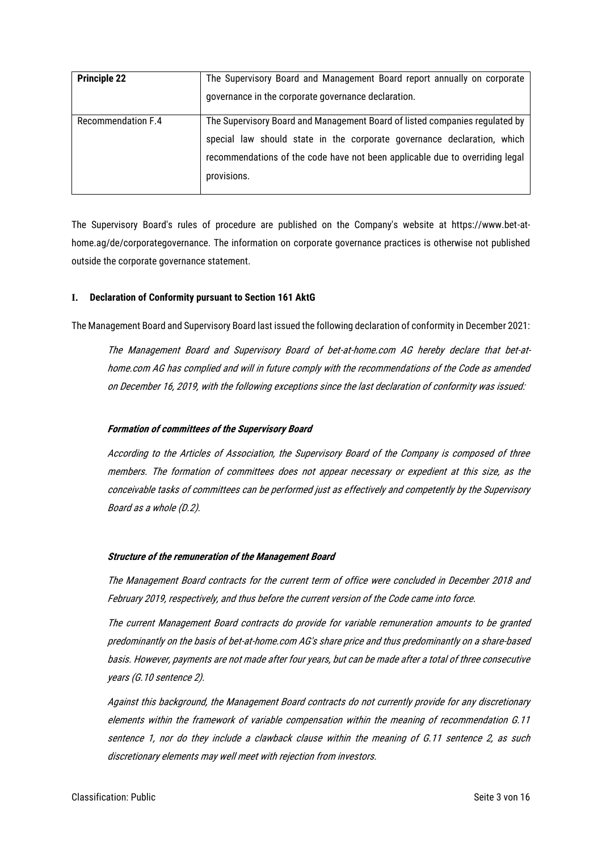| <b>Principle 22</b>       | The Supervisory Board and Management Board report annually on corporate<br>governance in the corporate governance declaration.                                                                                                                        |
|---------------------------|-------------------------------------------------------------------------------------------------------------------------------------------------------------------------------------------------------------------------------------------------------|
| <b>Recommendation F.4</b> | The Supervisory Board and Management Board of listed companies regulated by<br>special law should state in the corporate governance declaration, which<br>recommendations of the code have not been applicable due to overriding legal<br>provisions. |

The Supervisory Board's rules of procedure are published on the Company's website at https://www.bet-athome.ag/de/corporategovernance. The information on corporate governance practices is otherwise not published outside the corporate governance statement.

## **I. Declaration of Conformity pursuant to Section 161 AktG**

The Management Board and Supervisory Board last issued the following declaration of conformity in December 2021:

The Management Board and Supervisory Board of bet-at-home.com AG hereby declare that bet-athome.com AG has complied and will in future comply with the recommendations of the Code as amended on December 16, 2019, with the following exceptions since the last declaration of conformity was issued:

# **Formation of committees of the Supervisory Board**

According to the Articles of Association, the Supervisory Board of the Company is composed of three members. The formation of committees does not appear necessary or expedient at this size, as the conceivable tasks of committees can be performed just as effectively and competently by the Supervisory Board as a whole (D.2).

# **Structure of the remuneration of the Management Board**

The Management Board contracts for the current term of office were concluded in December 2018 and February 2019, respectively, and thus before the current version of the Code came into force.

The current Management Board contracts do provide for variable remuneration amounts to be granted predominantly on the basis of bet-at-home.com AG's share price and thus predominantly on a share-based basis. However, payments are not made after four years, but can be made after a total of three consecutive years (G.10 sentence 2).

Against this background, the Management Board contracts do not currently provide for any discretionary elements within the framework of variable compensation within the meaning of recommendation G.11 sentence 1, nor do they include a clawback clause within the meaning of G.11 sentence 2, as such discretionary elements may well meet with rejection from investors.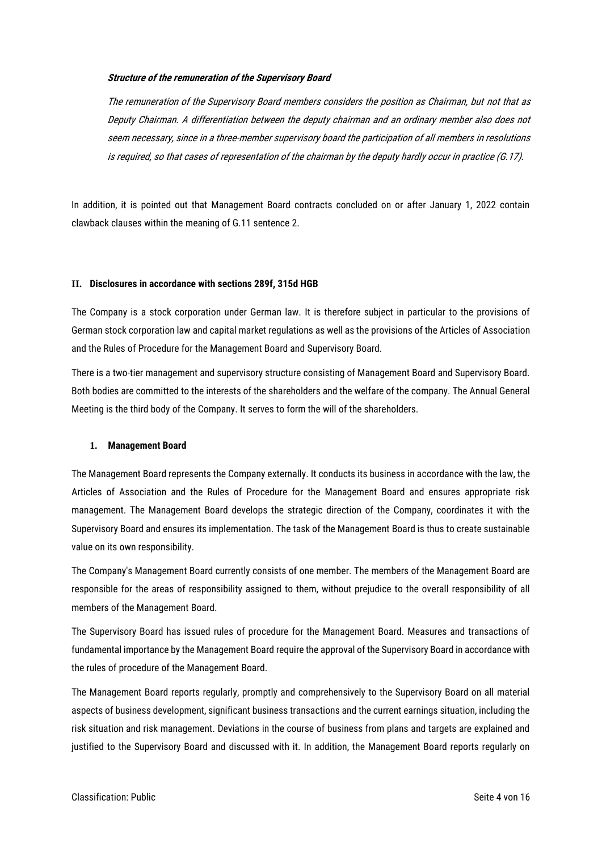# **Structure of the remuneration of the Supervisory Board**

The remuneration of the Supervisory Board members considers the position as Chairman, but not that as Deputy Chairman. A differentiation between the deputy chairman and an ordinary member also does not seem necessary, since in a three-member supervisory board the participation of all members in resolutions is required, so that cases of representation of the chairman by the deputy hardly occur in practice (G.17).

In addition, it is pointed out that Management Board contracts concluded on or after January 1, 2022 contain clawback clauses within the meaning of G.11 sentence 2.

#### **II. Disclosures in accordance with sections 289f, 315d HGB**

The Company is a stock corporation under German law. It is therefore subject in particular to the provisions of German stock corporation law and capital market regulations as well as the provisions of the Articles of Association and the Rules of Procedure for the Management Board and Supervisory Board.

There is a two-tier management and supervisory structure consisting of Management Board and Supervisory Board. Both bodies are committed to the interests of the shareholders and the welfare of the company. The Annual General Meeting is the third body of the Company. It serves to form the will of the shareholders.

#### **1. Management Board**

The Management Board represents the Company externally. It conducts its business in accordance with the law, the Articles of Association and the Rules of Procedure for the Management Board and ensures appropriate risk management. The Management Board develops the strategic direction of the Company, coordinates it with the Supervisory Board and ensures its implementation. The task of the Management Board is thus to create sustainable value on its own responsibility.

The Company's Management Board currently consists of one member. The members of the Management Board are responsible for the areas of responsibility assigned to them, without prejudice to the overall responsibility of all members of the Management Board.

The Supervisory Board has issued rules of procedure for the Management Board. Measures and transactions of fundamental importance by the Management Board require the approval of the Supervisory Board in accordance with the rules of procedure of the Management Board.

The Management Board reports regularly, promptly and comprehensively to the Supervisory Board on all material aspects of business development, significant business transactions and the current earnings situation, including the risk situation and risk management. Deviations in the course of business from plans and targets are explained and justified to the Supervisory Board and discussed with it. In addition, the Management Board reports regularly on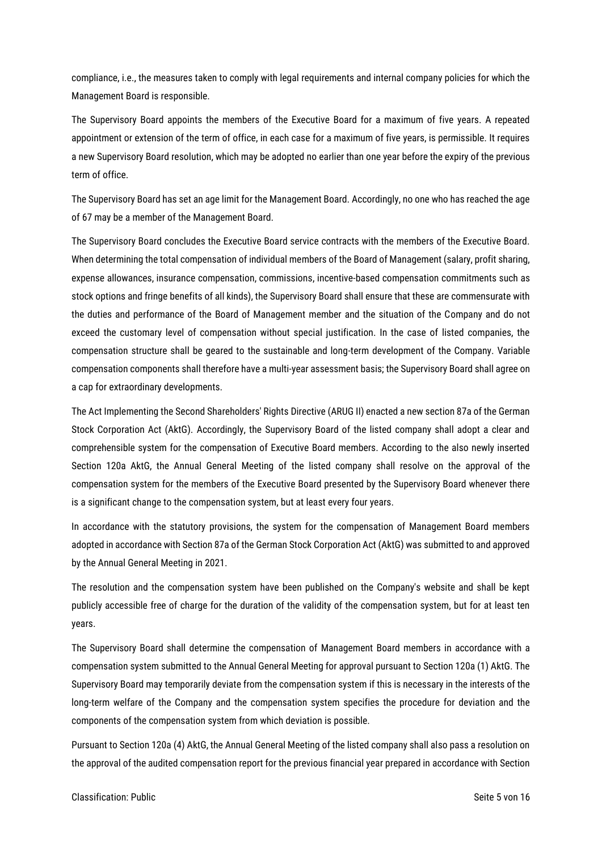compliance, i.e., the measures taken to comply with legal requirements and internal company policies for which the Management Board is responsible.

The Supervisory Board appoints the members of the Executive Board for a maximum of five years. A repeated appointment or extension of the term of office, in each case for a maximum of five years, is permissible. It requires a new Supervisory Board resolution, which may be adopted no earlier than one year before the expiry of the previous term of office.

The Supervisory Board has set an age limit for the Management Board. Accordingly, no one who has reached the age of 67 may be a member of the Management Board.

The Supervisory Board concludes the Executive Board service contracts with the members of the Executive Board. When determining the total compensation of individual members of the Board of Management (salary, profit sharing, expense allowances, insurance compensation, commissions, incentive-based compensation commitments such as stock options and fringe benefits of all kinds), the Supervisory Board shall ensure that these are commensurate with the duties and performance of the Board of Management member and the situation of the Company and do not exceed the customary level of compensation without special justification. In the case of listed companies, the compensation structure shall be geared to the sustainable and long-term development of the Company. Variable compensation components shall therefore have a multi-year assessment basis; the Supervisory Board shall agree on a cap for extraordinary developments.

The Act Implementing the Second Shareholders' Rights Directive (ARUG II) enacted a new section 87a of the German Stock Corporation Act (AktG). Accordingly, the Supervisory Board of the listed company shall adopt a clear and comprehensible system for the compensation of Executive Board members. According to the also newly inserted Section 120a AktG, the Annual General Meeting of the listed company shall resolve on the approval of the compensation system for the members of the Executive Board presented by the Supervisory Board whenever there is a significant change to the compensation system, but at least every four years.

In accordance with the statutory provisions, the system for the compensation of Management Board members adopted in accordance with Section 87a of the German Stock Corporation Act (AktG) was submitted to and approved by the Annual General Meeting in 2021.

The resolution and the compensation system have been published on the Company's website and shall be kept publicly accessible free of charge for the duration of the validity of the compensation system, but for at least ten years.

The Supervisory Board shall determine the compensation of Management Board members in accordance with a compensation system submitted to the Annual General Meeting for approval pursuant to Section 120a (1) AktG. The Supervisory Board may temporarily deviate from the compensation system if this is necessary in the interests of the long-term welfare of the Company and the compensation system specifies the procedure for deviation and the components of the compensation system from which deviation is possible.

Pursuant to Section 120a (4) AktG, the Annual General Meeting of the listed company shall also pass a resolution on the approval of the audited compensation report for the previous financial year prepared in accordance with Section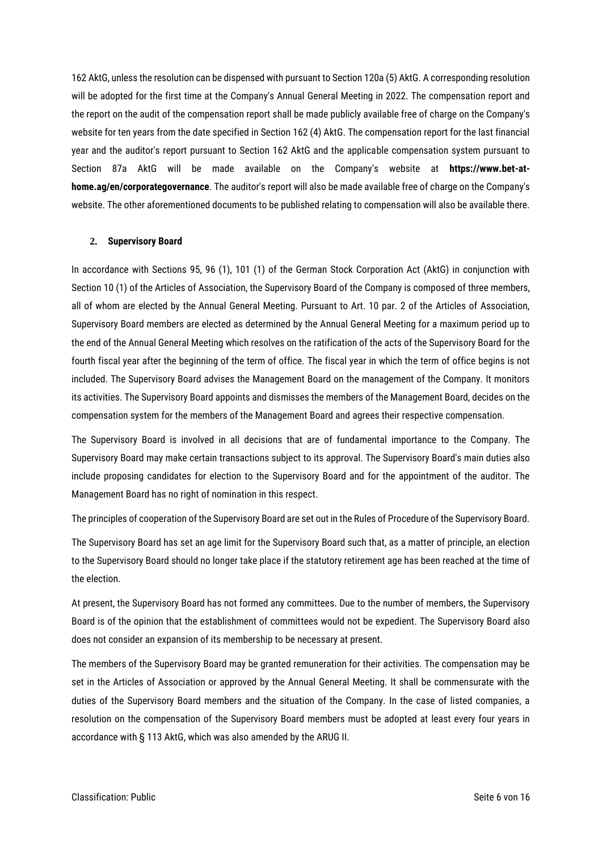162 AktG, unless the resolution can be dispensed with pursuant to Section 120a (5) AktG. A corresponding resolution will be adopted for the first time at the Company's Annual General Meeting in 2022. The compensation report and the report on the audit of the compensation report shall be made publicly available free of charge on the Company's website for ten years from the date specified in Section 162 (4) AktG. The compensation report for the last financial year and the auditor's report pursuant to Section 162 AktG and the applicable compensation system pursuant to Section 87a AktG will be made available on the Company's website at **https://www.bet-athome.ag/en/corporategovernance**. The auditor's report will also be made available free of charge on the Company's website. The other aforementioned documents to be published relating to compensation will also be available there.

#### **2. Supervisory Board**

In accordance with Sections 95, 96 (1), 101 (1) of the German Stock Corporation Act (AktG) in conjunction with Section 10 (1) of the Articles of Association, the Supervisory Board of the Company is composed of three members, all of whom are elected by the Annual General Meeting. Pursuant to Art. 10 par. 2 of the Articles of Association, Supervisory Board members are elected as determined by the Annual General Meeting for a maximum period up to the end of the Annual General Meeting which resolves on the ratification of the acts of the Supervisory Board for the fourth fiscal year after the beginning of the term of office. The fiscal year in which the term of office begins is not included. The Supervisory Board advises the Management Board on the management of the Company. It monitors its activities. The Supervisory Board appoints and dismisses the members of the Management Board, decides on the compensation system for the members of the Management Board and agrees their respective compensation.

The Supervisory Board is involved in all decisions that are of fundamental importance to the Company. The Supervisory Board may make certain transactions subject to its approval. The Supervisory Board's main duties also include proposing candidates for election to the Supervisory Board and for the appointment of the auditor. The Management Board has no right of nomination in this respect.

The principles of cooperation of the Supervisory Board are set out in the Rules of Procedure of the Supervisory Board.

The Supervisory Board has set an age limit for the Supervisory Board such that, as a matter of principle, an election to the Supervisory Board should no longer take place if the statutory retirement age has been reached at the time of the election.

At present, the Supervisory Board has not formed any committees. Due to the number of members, the Supervisory Board is of the opinion that the establishment of committees would not be expedient. The Supervisory Board also does not consider an expansion of its membership to be necessary at present.

The members of the Supervisory Board may be granted remuneration for their activities. The compensation may be set in the Articles of Association or approved by the Annual General Meeting. It shall be commensurate with the duties of the Supervisory Board members and the situation of the Company. In the case of listed companies, a resolution on the compensation of the Supervisory Board members must be adopted at least every four years in accordance with § 113 AktG, which was also amended by the ARUG II.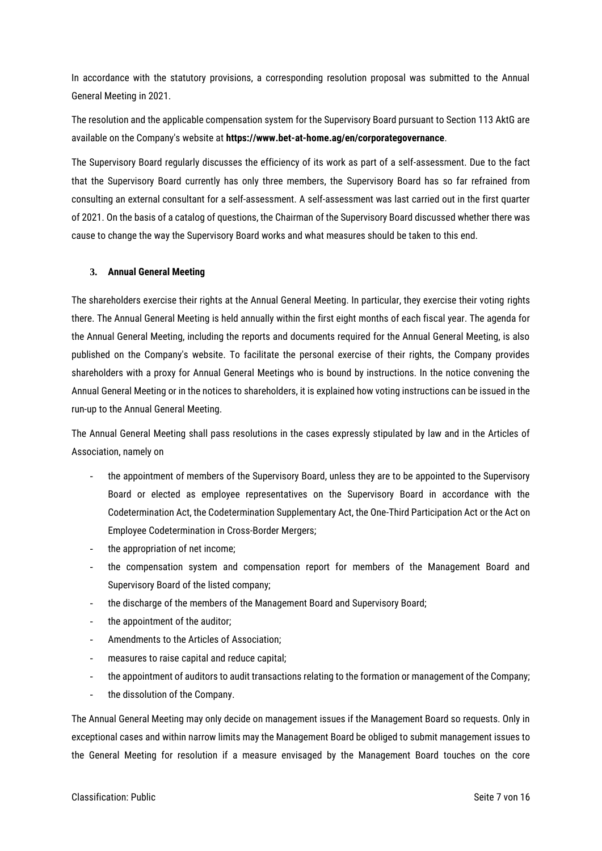In accordance with the statutory provisions, a corresponding resolution proposal was submitted to the Annual General Meeting in 2021.

The resolution and the applicable compensation system for the Supervisory Board pursuant to Section 113 AktG are available on the Company's website at **https://www.bet-at-home.ag/en/corporategovernance**.

The Supervisory Board regularly discusses the efficiency of its work as part of a self-assessment. Due to the fact that the Supervisory Board currently has only three members, the Supervisory Board has so far refrained from consulting an external consultant for a self-assessment. A self-assessment was last carried out in the first quarter of 2021. On the basis of a catalog of questions, the Chairman of the Supervisory Board discussed whether there was cause to change the way the Supervisory Board works and what measures should be taken to this end.

# **3. Annual General Meeting**

The shareholders exercise their rights at the Annual General Meeting. In particular, they exercise their voting rights there. The Annual General Meeting is held annually within the first eight months of each fiscal year. The agenda for the Annual General Meeting, including the reports and documents required for the Annual General Meeting, is also published on the Company's website. To facilitate the personal exercise of their rights, the Company provides shareholders with a proxy for Annual General Meetings who is bound by instructions. In the notice convening the Annual General Meeting or in the notices to shareholders, it is explained how voting instructions can be issued in the run-up to the Annual General Meeting.

The Annual General Meeting shall pass resolutions in the cases expressly stipulated by law and in the Articles of Association, namely on

- the appointment of members of the Supervisory Board, unless they are to be appointed to the Supervisory Board or elected as employee representatives on the Supervisory Board in accordance with the Codetermination Act, the Codetermination Supplementary Act, the One-Third Participation Act or the Act on Employee Codetermination in Cross-Border Mergers;
- the appropriation of net income;
- the compensation system and compensation report for members of the Management Board and Supervisory Board of the listed company;
- the discharge of the members of the Management Board and Supervisory Board;
- the appointment of the auditor;
- Amendments to the Articles of Association;
- measures to raise capital and reduce capital;
- the appointment of auditors to audit transactions relating to the formation or management of the Company;
- the dissolution of the Company.

The Annual General Meeting may only decide on management issues if the Management Board so requests. Only in exceptional cases and within narrow limits may the Management Board be obliged to submit management issues to the General Meeting for resolution if a measure envisaged by the Management Board touches on the core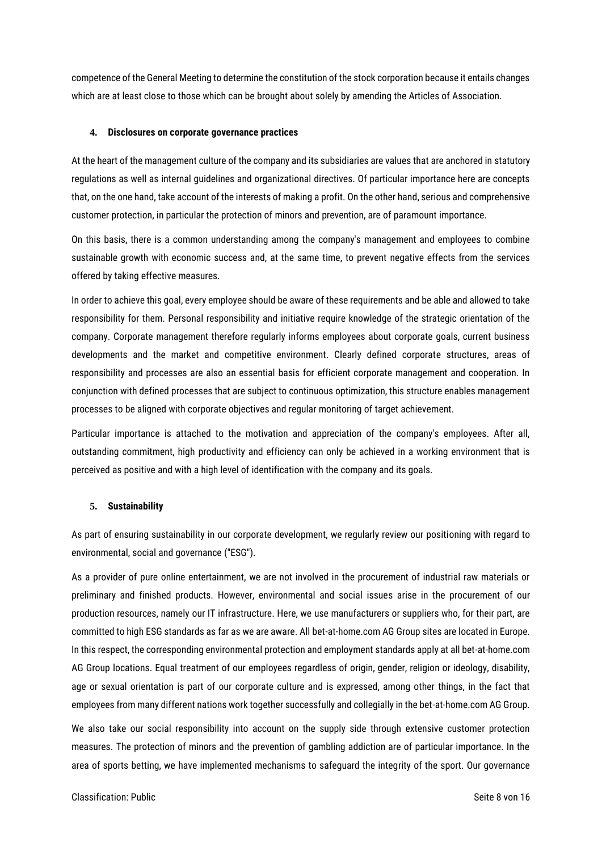competence of the General Meeting to determine the constitution of the stock corporation because it entails changes which are at least close to those which can be brought about solely by amending the Articles of Association.

# **4. Disclosures on corporate governance practices**

At the heart of the management culture of the company and its subsidiaries are values that are anchored in statutory regulations as well as internal guidelines and organizational directives. Of particular importance here are concepts that, on the one hand, take account of the interests of making a profit. On the other hand, serious and comprehensive customer protection, in particular the protection of minors and prevention, are of paramount importance.

On this basis, there is a common understanding among the company's management and employees to combine sustainable growth with economic success and, at the same time, to prevent negative effects from the services offered by taking effective measures.

In order to achieve this goal, every employee should be aware of these requirements and be able and allowed to take responsibility for them. Personal responsibility and initiative require knowledge of the strategic orientation of the company. Corporate management therefore regularly informs employees about corporate goals, current business developments and the market and competitive environment. Clearly defined corporate structures, areas of responsibility and processes are also an essential basis for efficient corporate management and cooperation. In conjunction with defined processes that are subject to continuous optimization, this structure enables management processes to be aligned with corporate objectives and regular monitoring of target achievement.

Particular importance is attached to the motivation and appreciation of the company's employees. After all, outstanding commitment, high productivity and efficiency can only be achieved in a working environment that is perceived as positive and with a high level of identification with the company and its goals.

#### **5. Sustainability**

As part of ensuring sustainability in our corporate development, we regularly review our positioning with regard to environmental, social and governance ("ESG").

As a provider of pure online entertainment, we are not involved in the procurement of industrial raw materials or preliminary and finished products. However, environmental and social issues arise in the procurement of our production resources, namely our IT infrastructure. Here, we use manufacturers or suppliers who, for their part, are committed to high ESG standards as far as we are aware. All bet-at-home.com AG Group sites are located in Europe. In this respect, the corresponding environmental protection and employment standards apply at all bet-at-home.com AG Group locations. Equal treatment of our employees regardless of origin, gender, religion or ideology, disability, age or sexual orientation is part of our corporate culture and is expressed, among other things, in the fact that employees from many different nations work together successfully and collegially in the bet-at-home.com AG Group.

We also take our social responsibility into account on the supply side through extensive customer protection measures. The protection of minors and the prevention of gambling addiction are of particular importance. In the area of sports betting, we have implemented mechanisms to safeguard the integrity of the sport. Our governance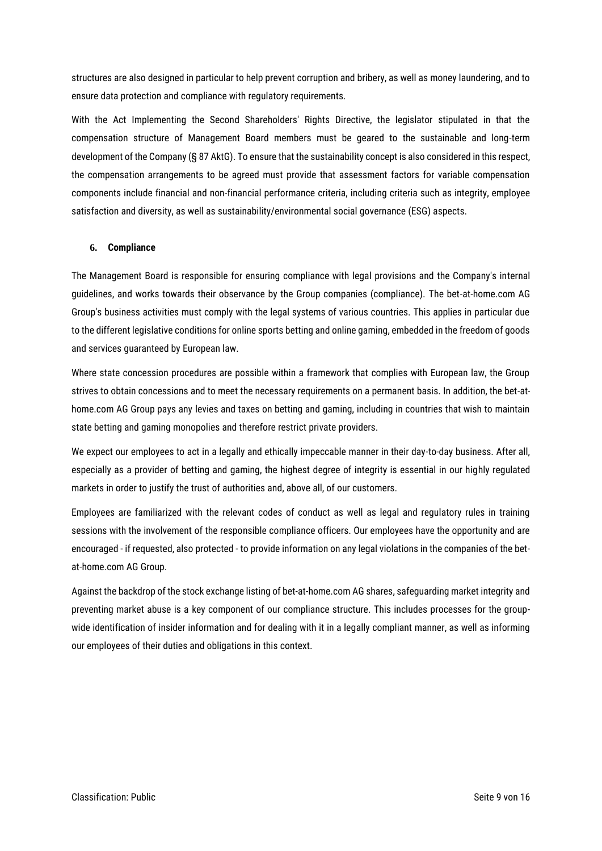structures are also designed in particular to help prevent corruption and bribery, as well as money laundering, and to ensure data protection and compliance with regulatory requirements.

With the Act Implementing the Second Shareholders' Rights Directive, the legislator stipulated in that the compensation structure of Management Board members must be geared to the sustainable and long-term development of the Company (§ 87 AktG). To ensure that the sustainability concept is also considered in this respect, the compensation arrangements to be agreed must provide that assessment factors for variable compensation components include financial and non-financial performance criteria, including criteria such as integrity, employee satisfaction and diversity, as well as sustainability/environmental social governance (ESG) aspects.

# **6. Compliance**

The Management Board is responsible for ensuring compliance with legal provisions and the Company's internal guidelines, and works towards their observance by the Group companies (compliance). The bet-at-home.com AG Group's business activities must comply with the legal systems of various countries. This applies in particular due to the different legislative conditions for online sports betting and online gaming, embedded in the freedom of goods and services guaranteed by European law.

Where state concession procedures are possible within a framework that complies with European law, the Group strives to obtain concessions and to meet the necessary requirements on a permanent basis. In addition, the bet-athome.com AG Group pays any levies and taxes on betting and gaming, including in countries that wish to maintain state betting and gaming monopolies and therefore restrict private providers.

We expect our employees to act in a legally and ethically impeccable manner in their day-to-day business. After all, especially as a provider of betting and gaming, the highest degree of integrity is essential in our highly regulated markets in order to justify the trust of authorities and, above all, of our customers.

Employees are familiarized with the relevant codes of conduct as well as legal and regulatory rules in training sessions with the involvement of the responsible compliance officers. Our employees have the opportunity and are encouraged - if requested, also protected - to provide information on any legal violations in the companies of the betat-home.com AG Group.

Against the backdrop of the stock exchange listing of bet-at-home.com AG shares, safeguarding market integrity and preventing market abuse is a key component of our compliance structure. This includes processes for the groupwide identification of insider information and for dealing with it in a legally compliant manner, as well as informing our employees of their duties and obligations in this context.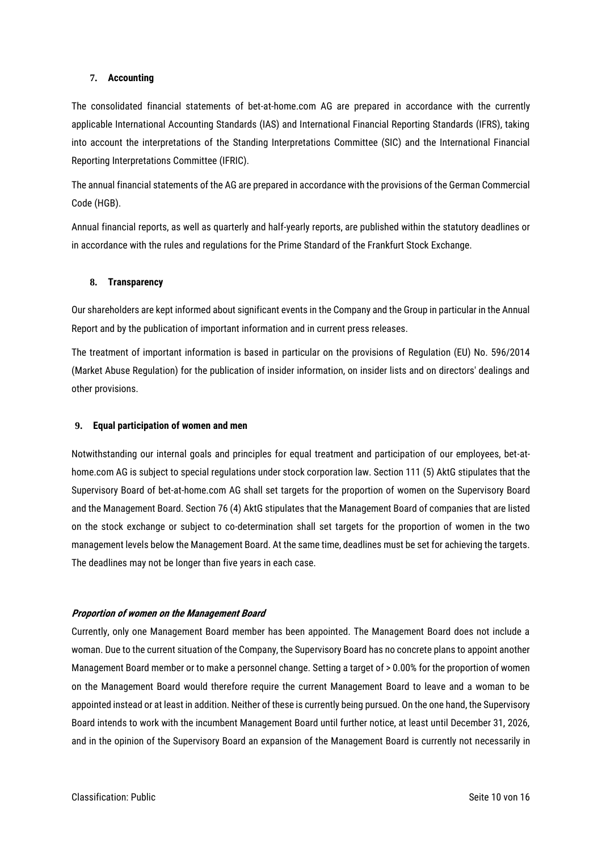#### **7. Accounting**

The consolidated financial statements of bet-at-home.com AG are prepared in accordance with the currently applicable International Accounting Standards (IAS) and International Financial Reporting Standards (IFRS), taking into account the interpretations of the Standing Interpretations Committee (SIC) and the International Financial Reporting Interpretations Committee (IFRIC).

The annual financial statements of the AG are prepared in accordance with the provisions of the German Commercial Code (HGB).

Annual financial reports, as well as quarterly and half-yearly reports, are published within the statutory deadlines or in accordance with the rules and regulations for the Prime Standard of the Frankfurt Stock Exchange.

## **8. Transparency**

Our shareholders are kept informed about significant events in the Company and the Group in particular in the Annual Report and by the publication of important information and in current press releases.

The treatment of important information is based in particular on the provisions of Regulation (EU) No. 596/2014 (Market Abuse Regulation) for the publication of insider information, on insider lists and on directors' dealings and other provisions.

## **9. Equal participation of women and men**

Notwithstanding our internal goals and principles for equal treatment and participation of our employees, bet-athome.com AG is subject to special regulations under stock corporation law. Section 111 (5) AktG stipulates that the Supervisory Board of bet-at-home.com AG shall set targets for the proportion of women on the Supervisory Board and the Management Board. Section 76 (4) AktG stipulates that the Management Board of companies that are listed on the stock exchange or subject to co-determination shall set targets for the proportion of women in the two management levels below the Management Board. At the same time, deadlines must be set for achieving the targets. The deadlines may not be longer than five years in each case.

#### **Proportion of women on the Management Board**

Currently, only one Management Board member has been appointed. The Management Board does not include a woman. Due to the current situation of the Company, the Supervisory Board has no concrete plans to appoint another Management Board member or to make a personnel change. Setting a target of > 0.00% for the proportion of women on the Management Board would therefore require the current Management Board to leave and a woman to be appointed instead or at least in addition. Neither of these is currently being pursued. On the one hand, the Supervisory Board intends to work with the incumbent Management Board until further notice, at least until December 31, 2026, and in the opinion of the Supervisory Board an expansion of the Management Board is currently not necessarily in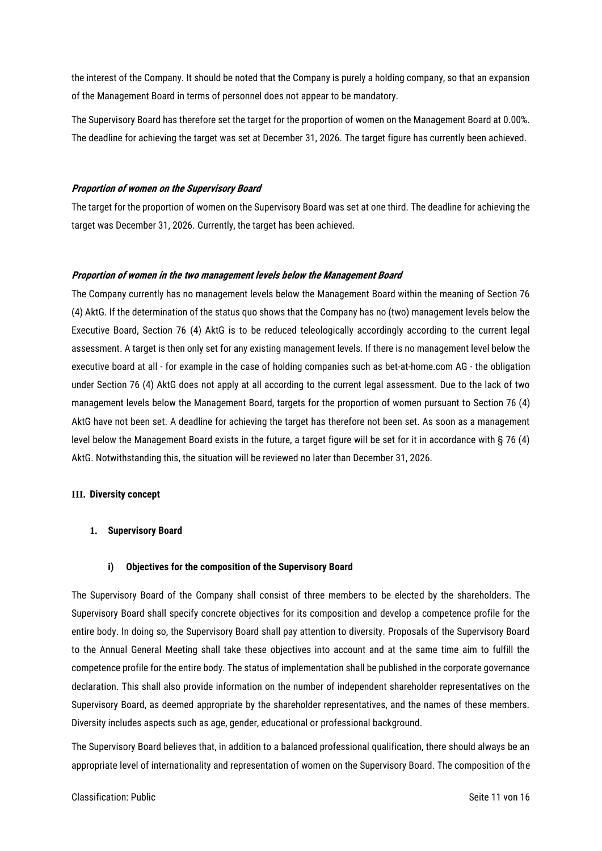the interest of the Company. It should be noted that the Company is purely a holding company, so that an expansion of the Management Board in terms of personnel does not appear to be mandatory.

The Supervisory Board has therefore set the target for the proportion of women on the Management Board at 0.00%. The deadline for achieving the target was set at December 31, 2026. The target figure has currently been achieved.

# **Proportion of women on the Supervisory Board**

The target for the proportion of women on the Supervisory Board was set at one third. The deadline for achieving the target was December 31, 2026. Currently, the target has been achieved.

## **Proportion of women in the two management levels below the Management Board**

The Company currently has no management levels below the Management Board within the meaning of Section 76 (4) AktG. If the determination of the status quo shows that the Company has no (two) management levels below the Executive Board, Section 76 (4) AktG is to be reduced teleologically accordingly according to the current legal assessment. A target is then only set for any existing management levels. If there is no management level below the executive board at all - for example in the case of holding companies such as bet-at-home.com AG - the obligation under Section 76 (4) AktG does not apply at all according to the current legal assessment. Due to the lack of two management levels below the Management Board, targets for the proportion of women pursuant to Section 76 (4) AktG have not been set. A deadline for achieving the target has therefore not been set. As soon as a management level below the Management Board exists in the future, a target figure will be set for it in accordance with § 76 (4) AktG. Notwithstanding this, the situation will be reviewed no later than December 31, 2026.

#### **III. Diversity concept**

## **1. Supervisory Board**

#### **i) Objectives for the composition of the Supervisory Board**

The Supervisory Board of the Company shall consist of three members to be elected by the shareholders. The Supervisory Board shall specify concrete objectives for its composition and develop a competence profile for the entire body. In doing so, the Supervisory Board shall pay attention to diversity. Proposals of the Supervisory Board to the Annual General Meeting shall take these objectives into account and at the same time aim to fulfill the competence profile for the entire body. The status of implementation shall be published in the corporate governance declaration. This shall also provide information on the number of independent shareholder representatives on the Supervisory Board, as deemed appropriate by the shareholder representatives, and the names of these members. Diversity includes aspects such as age, gender, educational or professional background.

The Supervisory Board believes that, in addition to a balanced professional qualification, there should always be an appropriate level of internationality and representation of women on the Supervisory Board. The composition of the

#### Classification: Public **Seite 11 von 16** Classification: Public Seite 11 von 16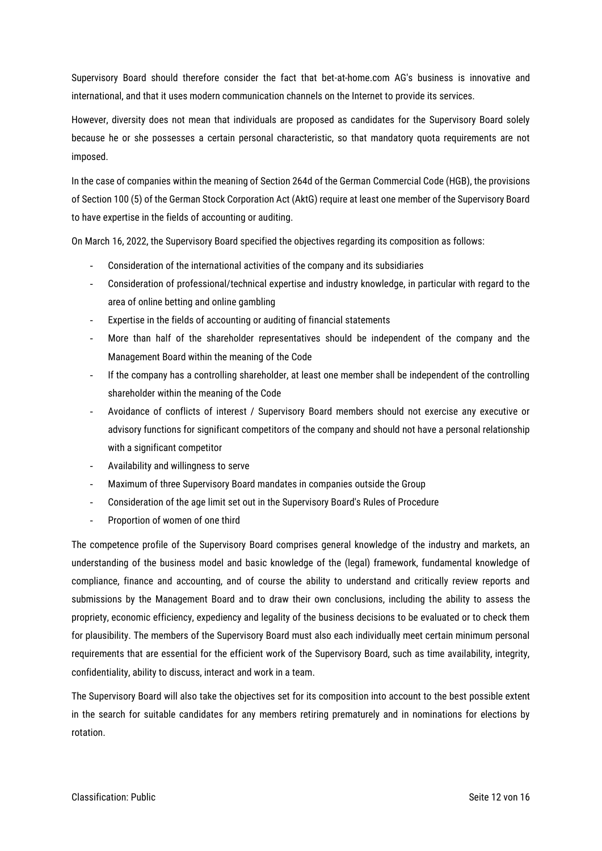Supervisory Board should therefore consider the fact that bet-at-home.com AG's business is innovative and international, and that it uses modern communication channels on the Internet to provide its services.

However, diversity does not mean that individuals are proposed as candidates for the Supervisory Board solely because he or she possesses a certain personal characteristic, so that mandatory quota requirements are not imposed.

In the case of companies within the meaning of Section 264d of the German Commercial Code (HGB), the provisions of Section 100 (5) of the German Stock Corporation Act (AktG) require at least one member of the Supervisory Board to have expertise in the fields of accounting or auditing.

On March 16, 2022, the Supervisory Board specified the objectives regarding its composition as follows:

- Consideration of the international activities of the company and its subsidiaries
- Consideration of professional/technical expertise and industry knowledge, in particular with regard to the area of online betting and online gambling
- Expertise in the fields of accounting or auditing of financial statements
- More than half of the shareholder representatives should be independent of the company and the Management Board within the meaning of the Code
- If the company has a controlling shareholder, at least one member shall be independent of the controlling shareholder within the meaning of the Code
- Avoidance of conflicts of interest / Supervisory Board members should not exercise any executive or advisory functions for significant competitors of the company and should not have a personal relationship with a significant competitor
- Availability and willingness to serve
- Maximum of three Supervisory Board mandates in companies outside the Group
- Consideration of the age limit set out in the Supervisory Board's Rules of Procedure
- Proportion of women of one third

The competence profile of the Supervisory Board comprises general knowledge of the industry and markets, an understanding of the business model and basic knowledge of the (legal) framework, fundamental knowledge of compliance, finance and accounting, and of course the ability to understand and critically review reports and submissions by the Management Board and to draw their own conclusions, including the ability to assess the propriety, economic efficiency, expediency and legality of the business decisions to be evaluated or to check them for plausibility. The members of the Supervisory Board must also each individually meet certain minimum personal requirements that are essential for the efficient work of the Supervisory Board, such as time availability, integrity, confidentiality, ability to discuss, interact and work in a team.

The Supervisory Board will also take the objectives set for its composition into account to the best possible extent in the search for suitable candidates for any members retiring prematurely and in nominations for elections by rotation.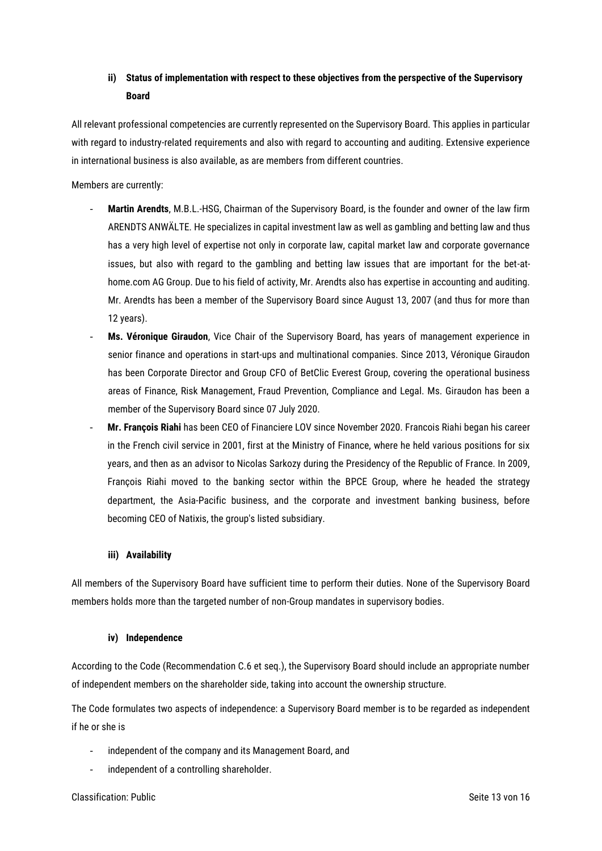# **ii) Status of implementation with respect to these objectives from the perspective of the Supervisory Board**

All relevant professional competencies are currently represented on the Supervisory Board. This applies in particular with regard to industry-related requirements and also with regard to accounting and auditing. Extensive experience in international business is also available, as are members from different countries.

Members are currently:

- **Martin Arendts**, M.B.L.-HSG, Chairman of the Supervisory Board, is the founder and owner of the law firm ARENDTS ANWÄLTE. He specializes in capital investment law as well as gambling and betting law and thus has a very high level of expertise not only in corporate law, capital market law and corporate governance issues, but also with regard to the gambling and betting law issues that are important for the bet-athome.com AG Group. Due to his field of activity, Mr. Arendts also has expertise in accounting and auditing. Mr. Arendts has been a member of the Supervisory Board since August 13, 2007 (and thus for more than 12 years).
- **Ms. Véronique Giraudon**, Vice Chair of the Supervisory Board, has years of management experience in senior finance and operations in start-ups and multinational companies. Since 2013, Véronique Giraudon has been Corporate Director and Group CFO of BetClic Everest Group, covering the operational business areas of Finance, Risk Management, Fraud Prevention, Compliance and Legal. Ms. Giraudon has been a member of the Supervisory Board since 07 July 2020.
- **Mr. François Riahi** has been CEO of Financiere LOV since November 2020. Francois Riahi began his career in the French civil service in 2001, first at the Ministry of Finance, where he held various positions for six years, and then as an advisor to Nicolas Sarkozy during the Presidency of the Republic of France. In 2009, François Riahi moved to the banking sector within the BPCE Group, where he headed the strategy department, the Asia-Pacific business, and the corporate and investment banking business, before becoming CEO of Natixis, the group's listed subsidiary.

# **iii) Availability**

All members of the Supervisory Board have sufficient time to perform their duties. None of the Supervisory Board members holds more than the targeted number of non-Group mandates in supervisory bodies.

# **iv) Independence**

According to the Code (Recommendation C.6 et seq.), the Supervisory Board should include an appropriate number of independent members on the shareholder side, taking into account the ownership structure.

The Code formulates two aspects of independence: a Supervisory Board member is to be regarded as independent if he or she is

- independent of the company and its Management Board, and
- independent of a controlling shareholder.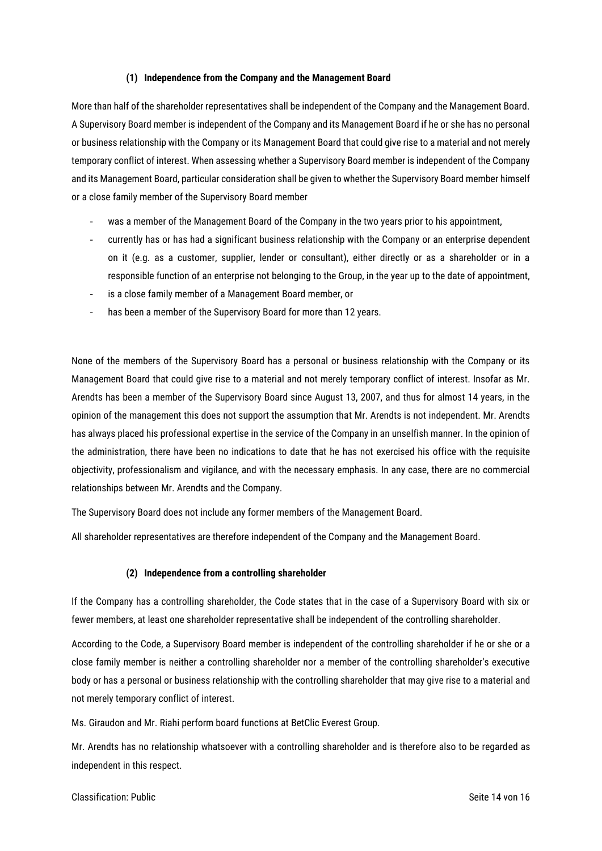## **(1) Independence from the Company and the Management Board**

More than half of the shareholder representatives shall be independent of the Company and the Management Board. A Supervisory Board member is independent of the Company and its Management Board if he or she has no personal or business relationship with the Company or its Management Board that could give rise to a material and not merely temporary conflict of interest. When assessing whether a Supervisory Board member is independent of the Company and its Management Board, particular consideration shall be given to whether the Supervisory Board member himself or a close family member of the Supervisory Board member

- was a member of the Management Board of the Company in the two years prior to his appointment,
- currently has or has had a significant business relationship with the Company or an enterprise dependent on it (e.g. as a customer, supplier, lender or consultant), either directly or as a shareholder or in a responsible function of an enterprise not belonging to the Group, in the year up to the date of appointment,
- is a close family member of a Management Board member, or
- has been a member of the Supervisory Board for more than 12 years.

None of the members of the Supervisory Board has a personal or business relationship with the Company or its Management Board that could give rise to a material and not merely temporary conflict of interest. Insofar as Mr. Arendts has been a member of the Supervisory Board since August 13, 2007, and thus for almost 14 years, in the opinion of the management this does not support the assumption that Mr. Arendts is not independent. Mr. Arendts has always placed his professional expertise in the service of the Company in an unselfish manner. In the opinion of the administration, there have been no indications to date that he has not exercised his office with the requisite objectivity, professionalism and vigilance, and with the necessary emphasis. In any case, there are no commercial relationships between Mr. Arendts and the Company.

The Supervisory Board does not include any former members of the Management Board.

All shareholder representatives are therefore independent of the Company and the Management Board.

# **(2) Independence from a controlling shareholder**

If the Company has a controlling shareholder, the Code states that in the case of a Supervisory Board with six or fewer members, at least one shareholder representative shall be independent of the controlling shareholder.

According to the Code, a Supervisory Board member is independent of the controlling shareholder if he or she or a close family member is neither a controlling shareholder nor a member of the controlling shareholder's executive body or has a personal or business relationship with the controlling shareholder that may give rise to a material and not merely temporary conflict of interest.

Ms. Giraudon and Mr. Riahi perform board functions at BetClic Everest Group.

Mr. Arendts has no relationship whatsoever with a controlling shareholder and is therefore also to be regarded as independent in this respect.

#### Classification: Public Seite 14 von 16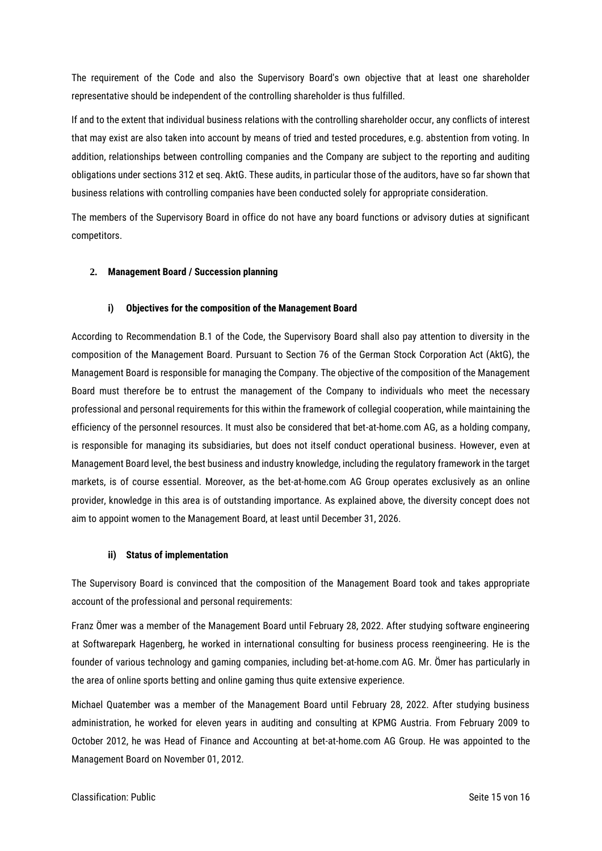The requirement of the Code and also the Supervisory Board's own objective that at least one shareholder representative should be independent of the controlling shareholder is thus fulfilled.

If and to the extent that individual business relations with the controlling shareholder occur, any conflicts of interest that may exist are also taken into account by means of tried and tested procedures, e.g. abstention from voting. In addition, relationships between controlling companies and the Company are subject to the reporting and auditing obligations under sections 312 et seq. AktG. These audits, in particular those of the auditors, have so far shown that business relations with controlling companies have been conducted solely for appropriate consideration.

The members of the Supervisory Board in office do not have any board functions or advisory duties at significant competitors.

# **2. Management Board / Succession planning**

## **i) Objectives for the composition of the Management Board**

According to Recommendation B.1 of the Code, the Supervisory Board shall also pay attention to diversity in the composition of the Management Board. Pursuant to Section 76 of the German Stock Corporation Act (AktG), the Management Board is responsible for managing the Company. The objective of the composition of the Management Board must therefore be to entrust the management of the Company to individuals who meet the necessary professional and personal requirements for this within the framework of collegial cooperation, while maintaining the efficiency of the personnel resources. It must also be considered that bet-at-home.com AG, as a holding company, is responsible for managing its subsidiaries, but does not itself conduct operational business. However, even at Management Board level, the best business and industry knowledge, including the regulatory framework in the target markets, is of course essential. Moreover, as the bet-at-home.com AG Group operates exclusively as an online provider, knowledge in this area is of outstanding importance. As explained above, the diversity concept does not aim to appoint women to the Management Board, at least until December 31, 2026.

#### **ii) Status of implementation**

The Supervisory Board is convinced that the composition of the Management Board took and takes appropriate account of the professional and personal requirements:

Franz Ömer was a member of the Management Board until February 28, 2022. After studying software engineering at Softwarepark Hagenberg, he worked in international consulting for business process reengineering. He is the founder of various technology and gaming companies, including bet-at-home.com AG. Mr. Ömer has particularly in the area of online sports betting and online gaming thus quite extensive experience.

Michael Quatember was a member of the Management Board until February 28, 2022. After studying business administration, he worked for eleven years in auditing and consulting at KPMG Austria. From February 2009 to October 2012, he was Head of Finance and Accounting at bet-at-home.com AG Group. He was appointed to the Management Board on November 01, 2012.